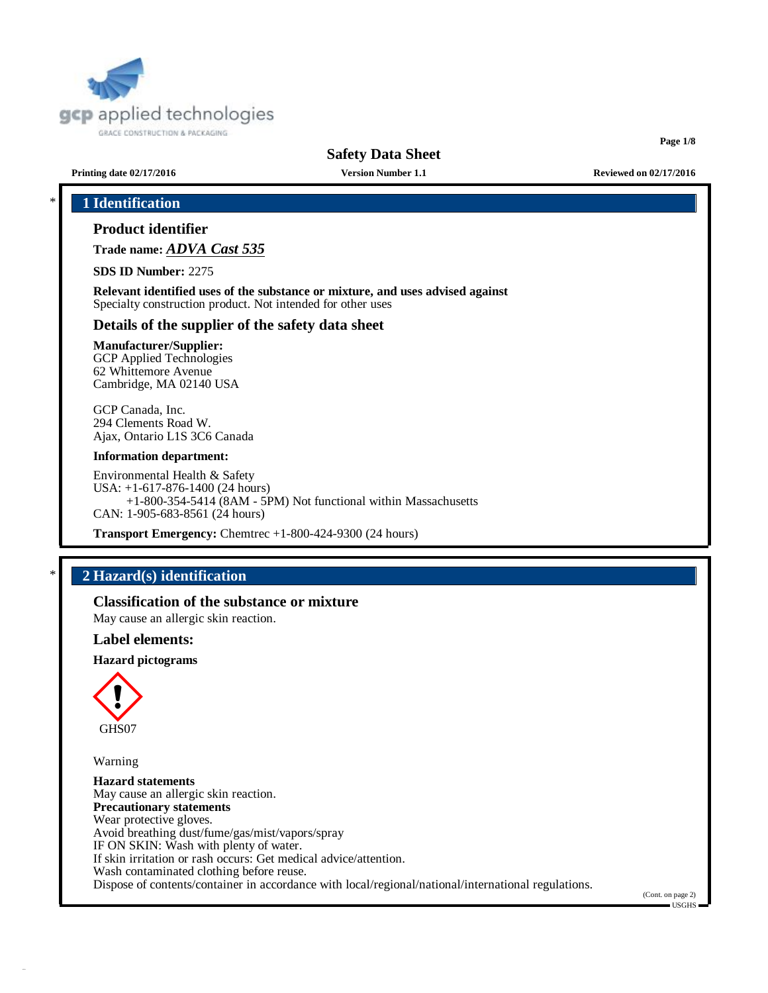

**Page 1/8**

**Printing date 02/17/2016 Version Number 1.1 Reviewed on 02/17/2016**

# \* **1 Identification**

# **Product identifier**

**Trade name:** *ADVA Cast 535*

**SDS ID Number:** 2275

**Relevant identified uses of the substance or mixture, and uses advised against** Specialty construction product. Not intended for other uses

### **Details of the supplier of the safety data sheet**

### **Manufacturer/Supplier:**

GCP Applied Technologies 62 Whittemore Avenue Cambridge, MA 02140 USA

GCP Canada, Inc. 294 Clements Road W. Ajax, Ontario L1S 3C6 Canada

#### **Information department:**

Environmental Health & Safety USA: +1-617-876-1400 (24 hours) +1-800-354-5414 (8AM - 5PM) Not functional within Massachusetts CAN: 1-905-683-8561 (24 hours)

**Transport Emergency:** Chemtrec +1-800-424-9300 (24 hours)

# \* **2 Hazard(s) identification**

**Classification of the substance or mixture**

May cause an allergic skin reaction.

## **Label elements:**

**Hazard pictograms**



Warning

**Hazard statements** May cause an allergic skin reaction. **Precautionary statements** Wear protective gloves. Avoid breathing dust/fume/gas/mist/vapors/spray IF ON SKIN: Wash with plenty of water. If skin irritation or rash occurs: Get medical advice/attention. Wash contaminated clothing before reuse. Dispose of contents/container in accordance with local/regional/national/international regulations.

(Cont. on page 2)

 $=$  USGHS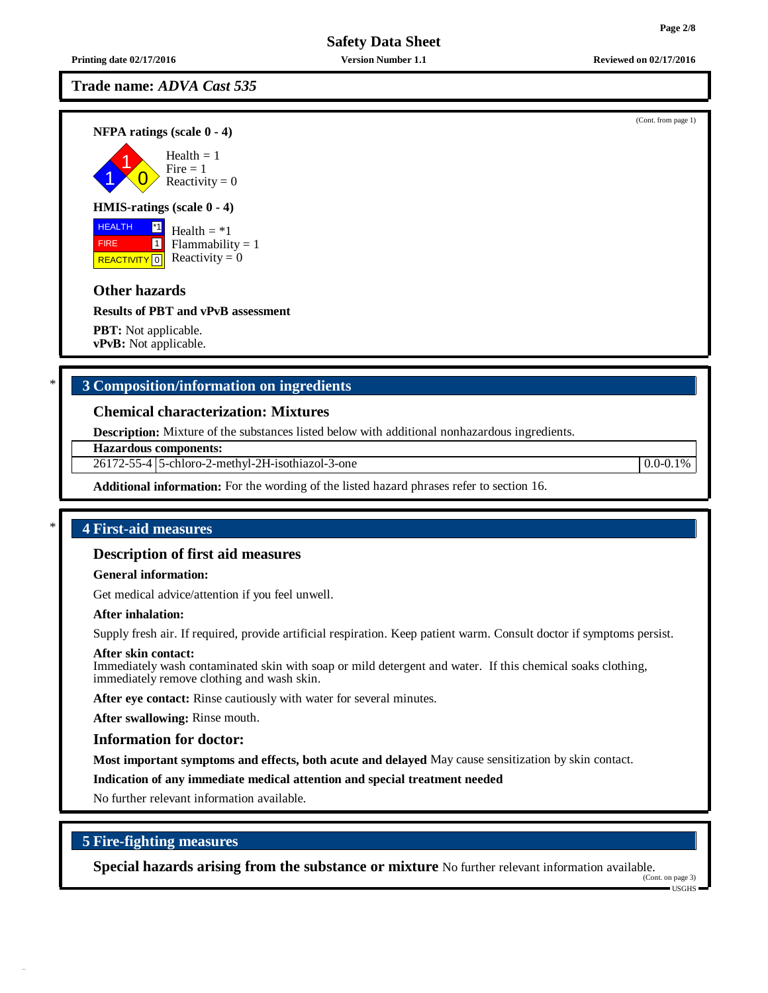**Printing date 02/17/2016 Version Number 1.1 Reviewed on 02/17/2016**

# **Trade name:** *ADVA Cast 535*

**NFPA ratings (scale 0 - 4)**

1 1  $\overline{0}$ Health  $= 1$  $Fire = 1$ Reactivity  $= 0$ 

### **HMIS-ratings (scale 0 - 4)**

**HEALTH FIRE** REACTIVITY  $\boxed{0}$  Reactivity = 0 \*1 1 Health  $=$   $*1$  $Flammability = 1$ 

# **Other hazards**

**Results of PBT and vPvB assessment**

**PBT:** Not applicable. **vPvB:** Not applicable.

# \* **3 Composition/information on ingredients**

## **Chemical characterization: Mixtures**

**Description:** Mixture of the substances listed below with additional nonhazardous ingredients.

**Hazardous components:**

26172-55-4 5-chloro-2-methyl-2H-isothiazol-3-one 0.0-0.1%

**Additional information:** For the wording of the listed hazard phrases refer to section 16.

## \* **4 First-aid measures**

## **Description of first aid measures**

#### **General information:**

Get medical advice/attention if you feel unwell.

#### **After inhalation:**

Supply fresh air. If required, provide artificial respiration. Keep patient warm. Consult doctor if symptoms persist.

#### **After skin contact:**

Immediately wash contaminated skin with soap or mild detergent and water. If this chemical soaks clothing, immediately remove clothing and wash skin.

**After eye contact:** Rinse cautiously with water for several minutes.

**After swallowing:** Rinse mouth.

#### **Information for doctor:**

**Most important symptoms and effects, both acute and delayed** May cause sensitization by skin contact.

**Indication of any immediate medical attention and special treatment needed**

No further relevant information available.

# **5 Fire-fighting measures**

**Special hazards arising from the substance or mixture** No further relevant information available.

(Cont. on page 3) USGHS

#### (Cont. from page 1)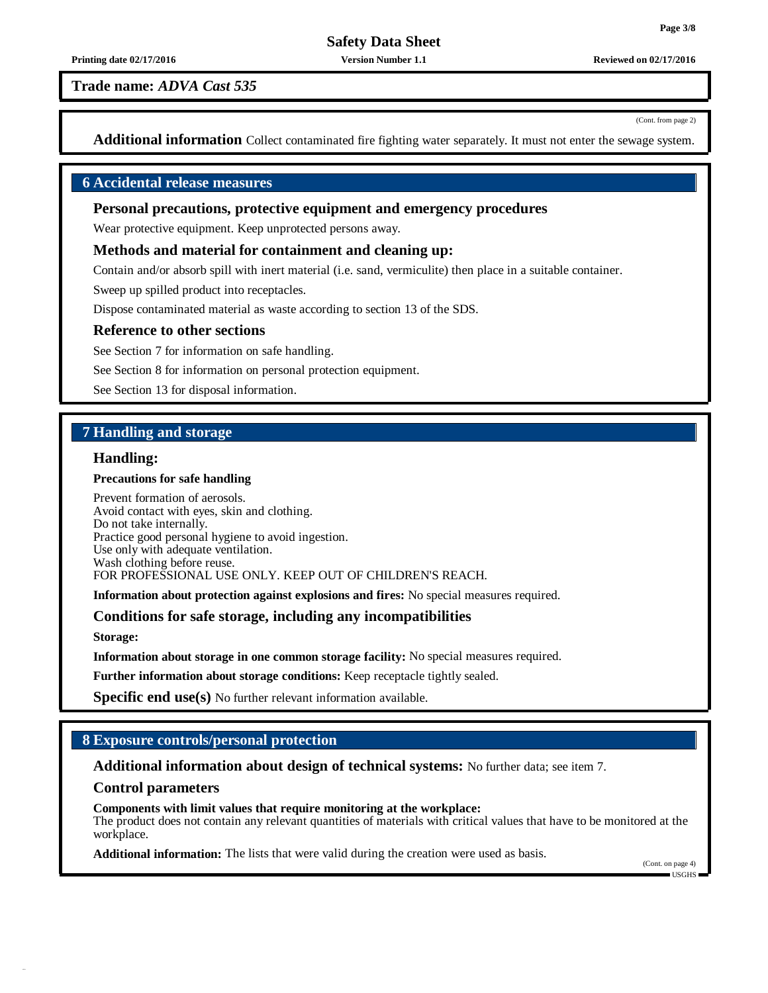**Printing date 02/17/2016 Version Number 1.1 Reviewed on 02/17/2016**

**Trade name:** *ADVA Cast 535*

(Cont. from page 2)

**Additional information** Collect contaminated fire fighting water separately. It must not enter the sewage system.

## **6 Accidental release measures**

## **Personal precautions, protective equipment and emergency procedures**

Wear protective equipment. Keep unprotected persons away.

#### **Methods and material for containment and cleaning up:**

Contain and/or absorb spill with inert material (i.e. sand, vermiculite) then place in a suitable container.

Sweep up spilled product into receptacles.

Dispose contaminated material as waste according to section 13 of the SDS.

#### **Reference to other sections**

See Section 7 for information on safe handling.

See Section 8 for information on personal protection equipment.

See Section 13 for disposal information.

## **7 Handling and storage**

### **Handling:**

#### **Precautions for safe handling**

Prevent formation of aerosols. Avoid contact with eyes, skin and clothing. Do not take internally. Practice good personal hygiene to avoid ingestion. Use only with adequate ventilation. Wash clothing before reuse. FOR PROFESSIONAL USE ONLY. KEEP OUT OF CHILDREN'S REACH.

**Information about protection against explosions and fires:** No special measures required.

#### **Conditions for safe storage, including any incompatibilities**

**Storage:**

**Information about storage in one common storage facility:** No special measures required.

**Further information about storage conditions:** Keep receptacle tightly sealed.

**Specific end use(s)** No further relevant information available.

## **8 Exposure controls/personal protection**

### **Additional information about design of technical systems:** No further data; see item 7.

#### **Control parameters**

**Components with limit values that require monitoring at the workplace:** The product does not contain any relevant quantities of materials with critical values that have to be monitored at the workplace.

**Additional information:** The lists that were valid during the creation were used as basis.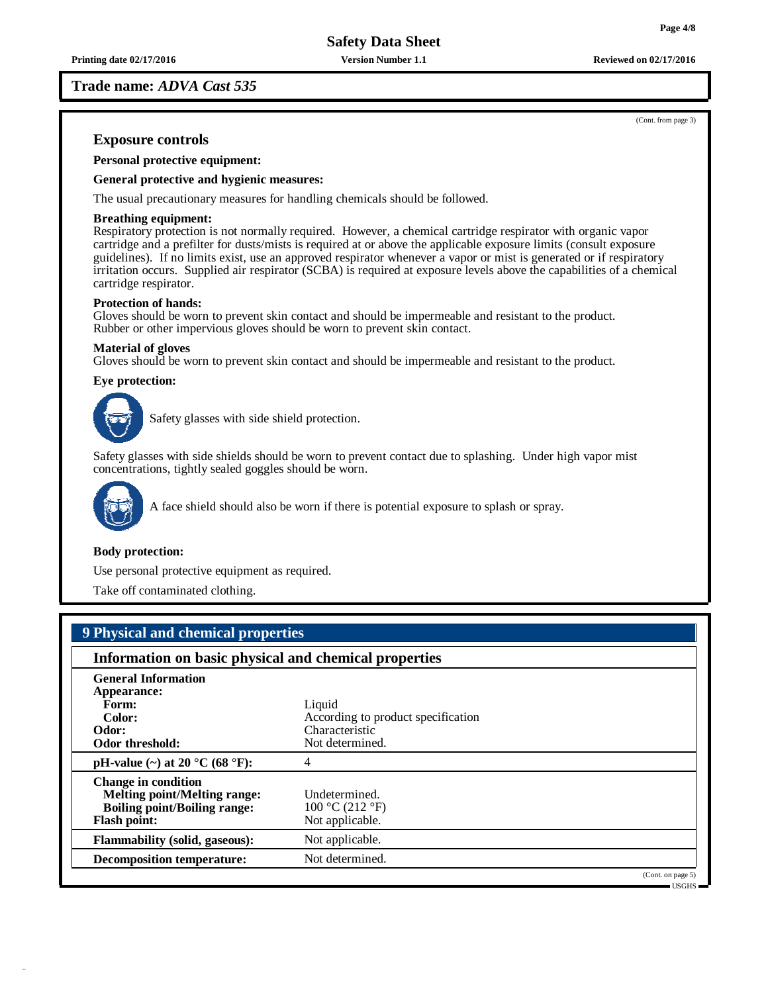**Trade name:** *ADVA Cast 535*

(Cont. from page 3)

## **Exposure controls**

**Personal protective equipment:**

#### **General protective and hygienic measures:**

The usual precautionary measures for handling chemicals should be followed.

#### **Breathing equipment:**

Respiratory protection is not normally required. However, a chemical cartridge respirator with organic vapor cartridge and a prefilter for dusts/mists is required at or above the applicable exposure limits (consult exposure guidelines). If no limits exist, use an approved respirator whenever a vapor or mist is generated or if respiratory irritation occurs. Supplied air respirator (SCBA) is required at exposure levels above the capabilities of a chemical cartridge respirator.

#### **Protection of hands:**

Gloves should be worn to prevent skin contact and should be impermeable and resistant to the product. Rubber or other impervious gloves should be worn to prevent skin contact.

#### **Material of gloves**

Gloves should be worn to prevent skin contact and should be impermeable and resistant to the product.

#### **Eye protection:**



Safety glasses with side shield protection.

Safety glasses with side shields should be worn to prevent contact due to splashing. Under high vapor mist concentrations, tightly sealed goggles should be worn.



A face shield should also be worn if there is potential exposure to splash or spray.

#### **Body protection:**

Use personal protective equipment as required.

Take off contaminated clothing.

| 9 Physical and chemical properties                                                                                              |                                                     |                                    |  |  |
|---------------------------------------------------------------------------------------------------------------------------------|-----------------------------------------------------|------------------------------------|--|--|
| Information on basic physical and chemical properties                                                                           |                                                     |                                    |  |  |
| <b>General Information</b><br>Appearance:                                                                                       |                                                     |                                    |  |  |
| Form:<br>Color:                                                                                                                 | Liquid<br>According to product specification        |                                    |  |  |
| Odor:<br><b>Odor threshold:</b>                                                                                                 | Characteristic<br>Not determined.                   |                                    |  |  |
| pH-value (~) at 20 $^{\circ}$ C (68 $^{\circ}$ F):                                                                              | 4                                                   |                                    |  |  |
| <b>Change in condition</b><br><b>Melting point/Melting range:</b><br><b>Boiling point/Boiling range:</b><br><b>Flash point:</b> | Undetermined.<br>100 °C (212 °F)<br>Not applicable. |                                    |  |  |
| <b>Flammability (solid, gaseous):</b>                                                                                           | Not applicable.                                     |                                    |  |  |
| <b>Decomposition temperature:</b>                                                                                               | Not determined.                                     |                                    |  |  |
|                                                                                                                                 |                                                     | (Cont. on page 5)<br>$-$ USGHS $-$ |  |  |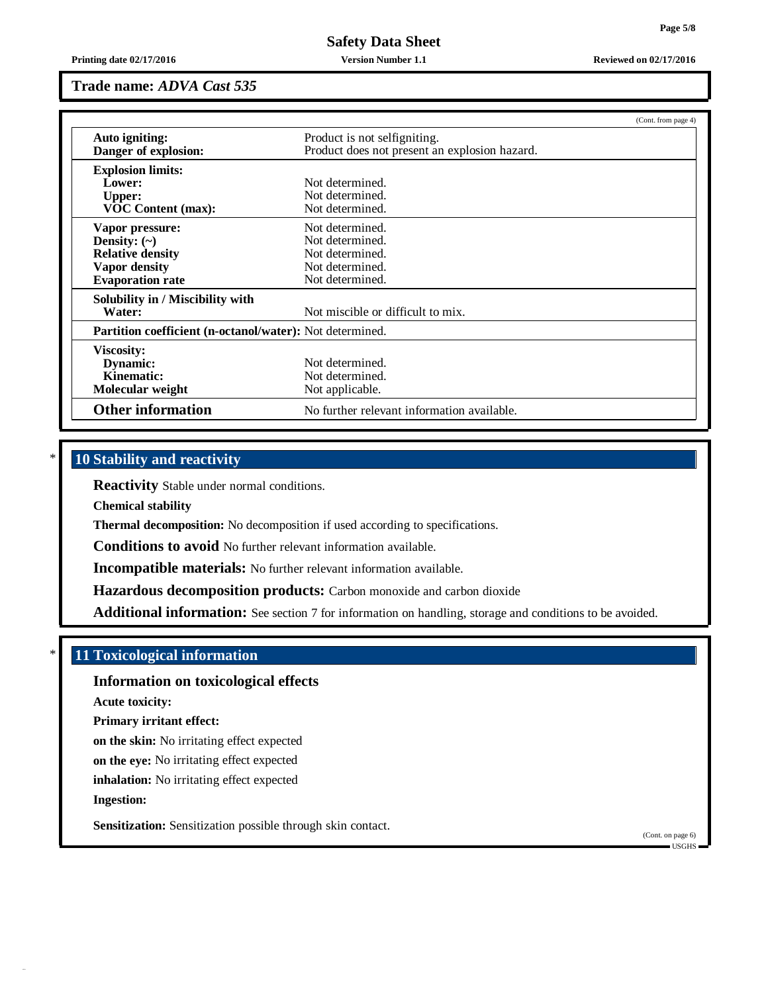**Trade name:** *ADVA Cast 535*

|                                                                 | (Cont. from page 4)                           |  |
|-----------------------------------------------------------------|-----------------------------------------------|--|
| Auto igniting:                                                  | Product is not selfigniting.                  |  |
| Danger of explosion:                                            | Product does not present an explosion hazard. |  |
| <b>Explosion limits:</b>                                        |                                               |  |
| Lower:                                                          | Not determined.                               |  |
| <b>Upper:</b>                                                   | Not determined.                               |  |
| <b>VOC Content (max):</b>                                       | Not determined.                               |  |
| Vapor pressure:                                                 | Not determined.                               |  |
| Density: $(\sim)$                                               | Not determined.                               |  |
| <b>Relative density</b>                                         | Not determined.                               |  |
| <b>Vapor density</b>                                            | Not determined.                               |  |
| <b>Evaporation rate</b>                                         | Not determined.                               |  |
| Solubility in / Miscibility with                                |                                               |  |
| Water:                                                          | Not miscible or difficult to mix.             |  |
| <b>Partition coefficient (n-octanol/water):</b> Not determined. |                                               |  |
| <b>Viscosity:</b>                                               |                                               |  |
| Dynamic:                                                        | Not determined.                               |  |
| Kinematic:                                                      | Not determined.                               |  |
| Molecular weight                                                | Not applicable.                               |  |
| <b>Other information</b>                                        | No further relevant information available.    |  |

# \* **10 Stability and reactivity**

**Reactivity** Stable under normal conditions.

**Chemical stability**

**Thermal decomposition:** No decomposition if used according to specifications.

**Conditions to avoid** No further relevant information available.

**Incompatible materials:** No further relevant information available.

**Hazardous decomposition products:** Carbon monoxide and carbon dioxide

**Additional information:** See section 7 for information on handling, storage and conditions to be avoided.

# \* **11 Toxicological information**

# **Information on toxicological effects**

**Acute toxicity:**

**Primary irritant effect:**

**on the skin:** No irritating effect expected

**on the eye:** No irritating effect expected

**inhalation:** No irritating effect expected

**Ingestion:**

**Sensitization:** Sensitization possible through skin contact.

(Cont. on page 6)  $\blacksquare$  USGHS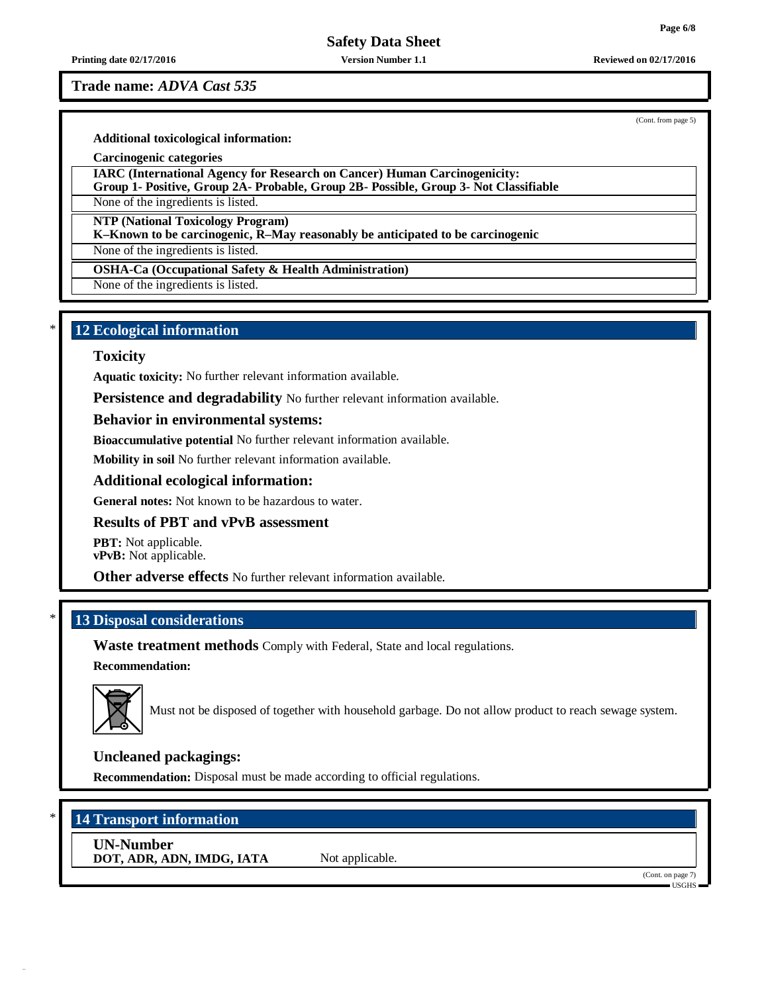**Printing date 02/17/2016 Version Number 1.1 Reviewed on 02/17/2016**

### **Trade name:** *ADVA Cast 535*

(Cont. from page 5)

**Additional toxicological information:**

**Carcinogenic categories**

**IARC (International Agency for Research on Cancer) Human Carcinogenicity:**

**Group 1- Positive, Group 2A- Probable, Group 2B- Possible, Group 3- Not Classifiable**

None of the ingredients is listed.

**NTP (National Toxicology Program)**

**K–Known to be carcinogenic, R–May reasonably be anticipated to be carcinogenic**

None of the ingredients is listed.

**OSHA-Ca (Occupational Safety & Health Administration)**

None of the ingredients is listed.

# \* **12 Ecological information**

### **Toxicity**

**Aquatic toxicity:** No further relevant information available.

**Persistence and degradability** No further relevant information available.

## **Behavior in environmental systems:**

**Bioaccumulative potential** No further relevant information available.

**Mobility in soil** No further relevant information available.

## **Additional ecological information:**

**General notes:** Not known to be hazardous to water.

## **Results of PBT and vPvB assessment**

**PBT:** Not applicable. **vPvB:** Not applicable.

**Other adverse effects** No further relevant information available.

# \* **13 Disposal considerations**

**Waste treatment methods** Comply with Federal, State and local regulations.

#### **Recommendation:**



Must not be disposed of together with household garbage. Do not allow product to reach sewage system.

# **Uncleaned packagings:**

**Recommendation:** Disposal must be made according to official regulations.

# \* **14 Transport information**

**UN-Number DOT, ADR, ADN, IMDG, IATA** Not applicable.

(Cont. on page 7) USGHS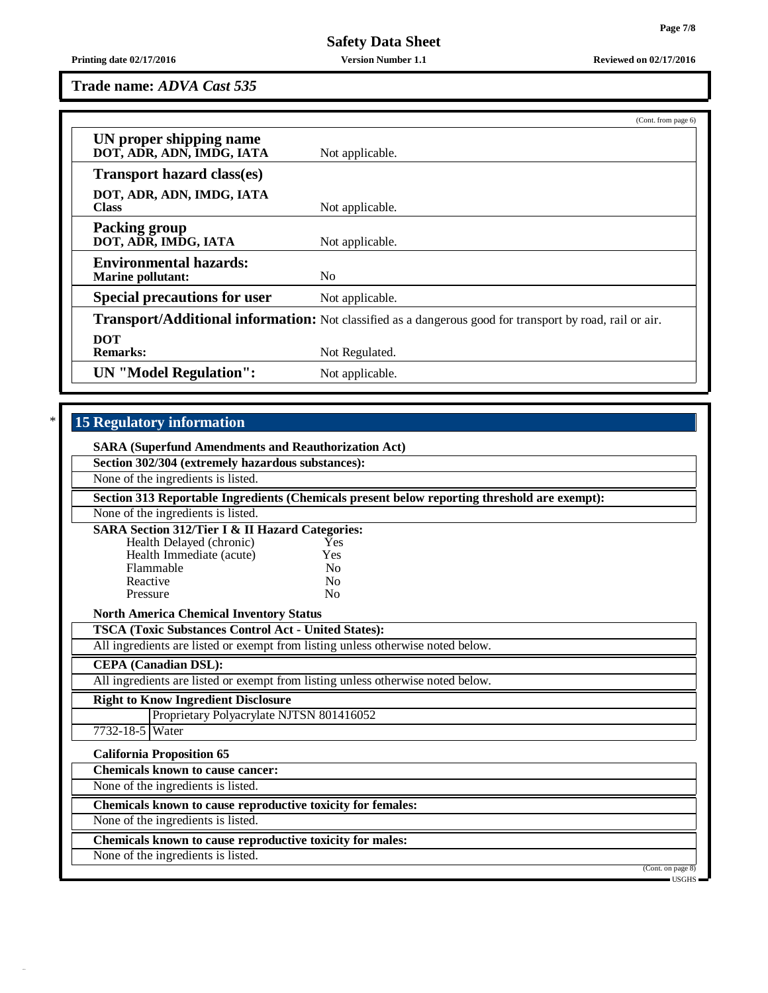**Printing date 02/17/2016 Version Number 1.1 Reviewed on 02/17/2016**

**Trade name:** *ADVA Cast 535*

|                                                                                                          | (Cont. from page 6) |  |
|----------------------------------------------------------------------------------------------------------|---------------------|--|
| UN proper shipping name<br>DOT, ADR, ADN, IMDG, IATA                                                     | Not applicable.     |  |
| <b>Transport hazard class(es)</b>                                                                        |                     |  |
| DOT, ADR, ADN, IMDG, IATA<br><b>Class</b>                                                                | Not applicable.     |  |
| <b>Packing group</b><br>DOT, ADR, IMDG, IATA                                                             | Not applicable.     |  |
| <b>Environmental hazards:</b><br><b>Marine pollutant:</b>                                                | N <sub>0</sub>      |  |
| <b>Special precautions for user</b>                                                                      | Not applicable.     |  |
| Transport/Additional information: Not classified as a dangerous good for transport by road, rail or air. |                     |  |
| <b>DOT</b><br><b>Remarks:</b>                                                                            | Not Regulated.      |  |
| <b>UN</b> "Model Regulation":                                                                            | Not applicable.     |  |

# \* **15 Regulatory information**

| <b>SARA (Superfund Amendments and Reauthorization Act)</b>                                   |                |                                    |  |  |
|----------------------------------------------------------------------------------------------|----------------|------------------------------------|--|--|
| Section 302/304 (extremely hazardous substances):                                            |                |                                    |  |  |
| None of the ingredients is listed.                                                           |                |                                    |  |  |
| Section 313 Reportable Ingredients (Chemicals present below reporting threshold are exempt): |                |                                    |  |  |
| None of the ingredients is listed.                                                           |                |                                    |  |  |
| <b>SARA Section 312/Tier I &amp; II Hazard Categories:</b>                                   |                |                                    |  |  |
| Health Delayed (chronic)                                                                     | Yes            |                                    |  |  |
| Health Immediate (acute)                                                                     | Yes            |                                    |  |  |
| Flammable                                                                                    | No             |                                    |  |  |
| Reactive                                                                                     | No             |                                    |  |  |
| Pressure                                                                                     | N <sub>0</sub> |                                    |  |  |
| <b>North America Chemical Inventory Status</b>                                               |                |                                    |  |  |
| <b>TSCA (Toxic Substances Control Act - United States):</b>                                  |                |                                    |  |  |
| All ingredients are listed or exempt from listing unless otherwise noted below.              |                |                                    |  |  |
| <b>CEPA</b> (Canadian DSL):                                                                  |                |                                    |  |  |
| All ingredients are listed or exempt from listing unless otherwise noted below.              |                |                                    |  |  |
| <b>Right to Know Ingredient Disclosure</b>                                                   |                |                                    |  |  |
| Proprietary Polyacrylate NJTSN 801416052                                                     |                |                                    |  |  |
| 7732-18-5 Water                                                                              |                |                                    |  |  |
| <b>California Proposition 65</b>                                                             |                |                                    |  |  |
| <b>Chemicals known to cause cancer:</b>                                                      |                |                                    |  |  |
| None of the ingredients is listed.                                                           |                |                                    |  |  |
| Chemicals known to cause reproductive toxicity for females:                                  |                |                                    |  |  |
| None of the ingredients is listed.                                                           |                |                                    |  |  |
| Chemicals known to cause reproductive toxicity for males:                                    |                |                                    |  |  |
| None of the ingredients is listed.                                                           |                |                                    |  |  |
|                                                                                              |                | (Cont. on page 8)<br>$-$ USGHS $-$ |  |  |
|                                                                                              |                |                                    |  |  |